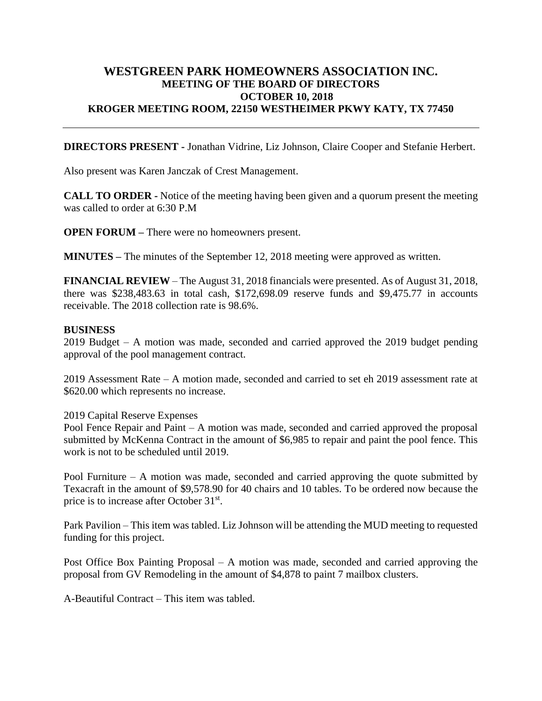## **WESTGREEN PARK HOMEOWNERS ASSOCIATION INC. MEETING OF THE BOARD OF DIRECTORS OCTOBER 10, 2018 KROGER MEETING ROOM, 22150 WESTHEIMER PKWY KATY, TX 77450**

**DIRECTORS PRESENT -** Jonathan Vidrine, Liz Johnson, Claire Cooper and Stefanie Herbert.

Also present was Karen Janczak of Crest Management.

**CALL TO ORDER -** Notice of the meeting having been given and a quorum present the meeting was called to order at 6:30 P.M

**OPEN FORUM –** There were no homeowners present.

**MINUTES –** The minutes of the September 12, 2018 meeting were approved as written.

**FINANCIAL REVIEW** – The August 31, 2018 financials were presented. As of August 31, 2018, there was \$238,483.63 in total cash, \$172,698.09 reserve funds and \$9,475.77 in accounts receivable. The 2018 collection rate is 98.6%.

## **BUSINESS**

2019 Budget – A motion was made, seconded and carried approved the 2019 budget pending approval of the pool management contract.

2019 Assessment Rate – A motion made, seconded and carried to set eh 2019 assessment rate at \$620.00 which represents no increase.

## 2019 Capital Reserve Expenses

Pool Fence Repair and Paint – A motion was made, seconded and carried approved the proposal submitted by McKenna Contract in the amount of \$6,985 to repair and paint the pool fence. This work is not to be scheduled until 2019.

Pool Furniture – A motion was made, seconded and carried approving the quote submitted by Texacraft in the amount of \$9,578.90 for 40 chairs and 10 tables. To be ordered now because the price is to increase after October 31<sup>st</sup>.

Park Pavilion – This item was tabled. Liz Johnson will be attending the MUD meeting to requested funding for this project.

Post Office Box Painting Proposal – A motion was made, seconded and carried approving the proposal from GV Remodeling in the amount of \$4,878 to paint 7 mailbox clusters.

A-Beautiful Contract – This item was tabled.